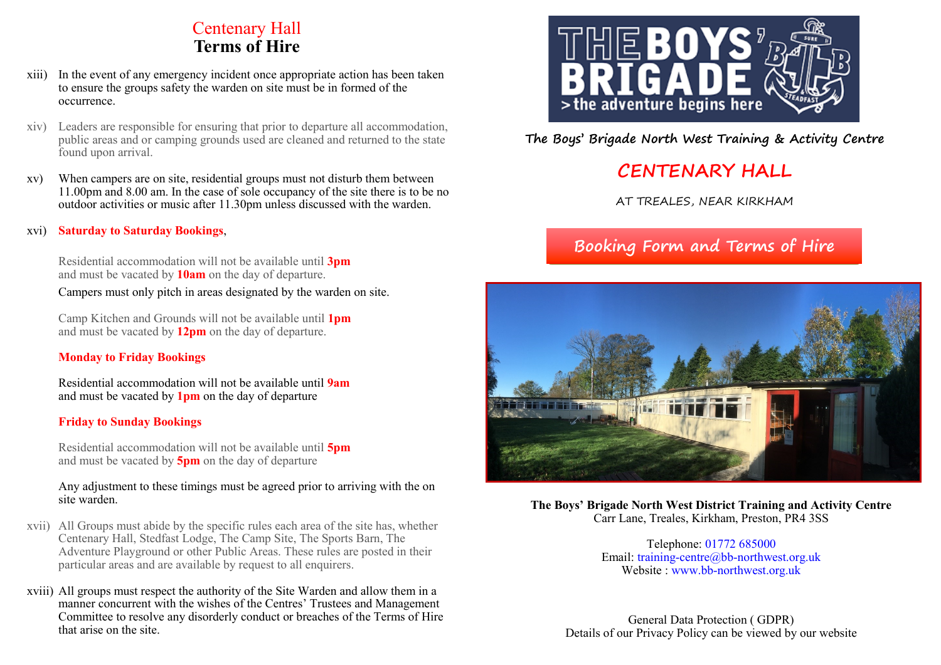## Centenary Hall **Terms of Hire**

- xiii) In the event of any emergency incident once appropriate action has been taken to ensure the groups safety the warden on site must be in formed of the occurrence.
- xiv) Leaders are responsible for ensuring that prior to departure all accommodation, public areas and or camping grounds used are cleaned and returned to the state found upon arrival.
- xv) When campers are on site, residential groups must not disturb them between 11.00pm and 8.00 am. In the case of sole occupancy of the site there is to be no outdoor activities or music after 11.30pm unless discussed with the warden.

### xvi) **Saturday to Saturday Bookings**,

Residential accommodation will not be available until **3pm** and must be vacated by **10am** on the day of departure.

Campers must only pitch in areas designated by the warden on site.

Camp Kitchen and Grounds will not be available until **1pm** and must be vacated by **12pm** on the day of departure.

## **Monday to Friday Bookings**

Residential accommodation will not be available until **9am** and must be vacated by **1pm** on the day of departure

#### **Friday to Sunday Bookings**

Residential accommodation will not be available until **5pm** and must be vacated by **5pm** on the day of departure

#### Any adjustment to these timings must be agreed prior to arriving with the on site warden.

- xvii) All Groups must abide by the specific rules each area of the site has, whether Centenary Hall, Stedfast Lodge, The Camp Site, The Sports Barn, The Adventure Playground or other Public Areas. These rules are posted in their particular areas and are available by request to all enquirers.
- xviii) All groups must respect the authority of the Site Warden and allow them in a manner concurrent with the wishes of the Centres' Trustees and Management Committee to resolve any disorderly conduct or breaches of the Terms of Hire that arise on the site.



**The Boys' Brigade North West Training & Activity Centre**

# **CENTENARY HALL**

AT TREALES, NEAR KIRKHAM

# **Booking Form and Terms of Hire**



**The Boys' Brigade North West District Training and Activity Centre** Carr Lane, Treales, Kirkham, Preston, PR4 3SS

> Telephone: 01772 685000 Email: training-centre@bb-northwest.org.uk Website : www.bb-northwest.org.uk

General Data Protection ( GDPR) Details of our Privacy Policy can be viewed by our website